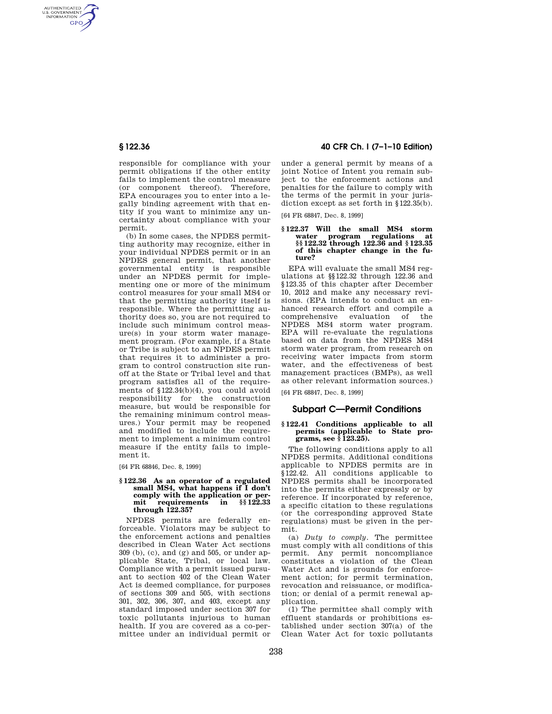AUTHENTICATED<br>U.S. GOVERNMENT<br>INFORMATION **GPO** 

> responsible for compliance with your permit obligations if the other entity fails to implement the control measure (or component thereof). Therefore, EPA encourages you to enter into a legally binding agreement with that entity if you want to minimize any uncertainty about compliance with your permit.

> (b) In some cases, the NPDES permitting authority may recognize, either in your individual NPDES permit or in an NPDES general permit, that another governmental entity is responsible under an NPDES permit for implementing one or more of the minimum control measures for your small MS4 or that the permitting authority itself is responsible. Where the permitting authority does so, you are not required to include such minimum control measure(s) in your storm water management program. (For example, if a State or Tribe is subject to an NPDES permit that requires it to administer a program to control construction site runoff at the State or Tribal level and that program satisfies all of the requirements of §122.34(b)(4), you could avoid responsibility for the construction measure, but would be responsible for the remaining minimum control measures.) Your permit may be reopened and modified to include the requirement to implement a minimum control measure if the entity fails to implement it.

[64 FR 68846, Dec. 8, 1999]

#### **§ 122.36 As an operator of a regulated small MS4, what happens if I don't comply with the application or permit requirements in §§ 122.33 through 122.35?**

NPDES permits are federally enforceable. Violators may be subject to the enforcement actions and penalties described in Clean Water Act sections 309 (b), (c), and (g) and 505, or under applicable State, Tribal, or local law. Compliance with a permit issued pursuant to section 402 of the Clean Water Act is deemed compliance, for purposes of sections 309 and 505, with sections 301, 302, 306, 307, and 403, except any standard imposed under section 307 for toxic pollutants injurious to human health. If you are covered as a co-permittee under an individual permit or

## **§ 122.36 40 CFR Ch. I (7–1–10 Edition)**

under a general permit by means of a joint Notice of Intent you remain subject to the enforcement actions and penalties for the failure to comply with the terms of the permit in your jurisdiction except as set forth in §122.35(b).

[64 FR 68847, Dec. 8, 1999]

# **§ 122.37 Will the small MS4 storm water program regulations at §§ 122.32 through 122.36 and § 123.35 of this chapter change in the future?**

EPA will evaluate the small MS4 regulations at §§122.32 through 122.36 and §123.35 of this chapter after December 10, 2012 and make any necessary revisions. (EPA intends to conduct an enhanced research effort and compile a comprehensive evaluation of the NPDES MS4 storm water program. EPA will re-evaluate the regulations based on data from the NPDES MS4 storm water program, from research on receiving water impacts from storm water, and the effectiveness of best management practices (BMPs), as well as other relevant information sources.)

[64 FR 68847, Dec. 8, 1999]

### **Subpart C—Permit Conditions**

# **§ 122.41 Conditions applicable to all permits (applicable to State pro-grams, see § 123.25).**

The following conditions apply to all NPDES permits. Additional conditions applicable to NPDES permits are in §122.42. All conditions applicable to NPDES permits shall be incorporated into the permits either expressly or by reference. If incorporated by reference, a specific citation to these regulations (or the corresponding approved State regulations) must be given in the permit.

(a) *Duty to comply.* The permittee must comply with all conditions of this permit. Any permit noncompliance constitutes a violation of the Clean Water Act and is grounds for enforcement action; for permit termination, revocation and reissuance, or modification; or denial of a permit renewal application.

(1) The permittee shall comply with effluent standards or prohibitions established under section 307(a) of the Clean Water Act for toxic pollutants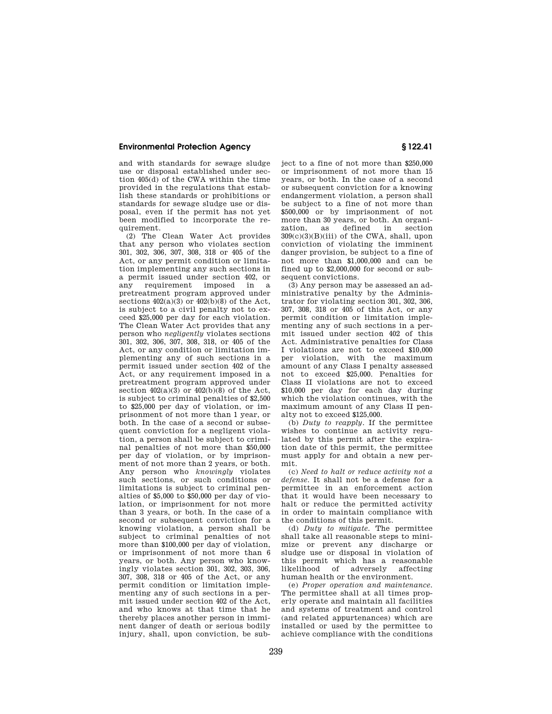#### **Environmental Protection Agency § 122.41**

and with standards for sewage sludge use or disposal established under section 405(d) of the CWA within the time provided in the regulations that establish these standards or prohibitions or standards for sewage sludge use or disposal, even if the permit has not yet been modified to incorporate the requirement.

(2) The Clean Water Act provides that any person who violates section 301, 302, 306, 307, 308, 318 or 405 of the Act, or any permit condition or limitation implementing any such sections in a permit issued under section 402, or any requirement imposed in a pretreatment program approved under sections  $402(a)(3)$  or  $402(b)(8)$  of the Act, is subject to a civil penalty not to exceed \$25,000 per day for each violation. The Clean Water Act provides that any person who *negligently* violates sections 301, 302, 306, 307, 308, 318, or 405 of the Act, or any condition or limitation implementing any of such sections in a permit issued under section 402 of the Act, or any requirement imposed in a pretreatment program approved under section  $402(a)(3)$  or  $402(b)(8)$  of the Act, is subject to criminal penalties of \$2,500 to \$25,000 per day of violation, or imprisonment of not more than 1 year, or both. In the case of a second or subsequent conviction for a negligent violation, a person shall be subject to criminal penalties of not more than \$50,000 per day of violation, or by imprisonment of not more than 2 years, or both. Any person who *knowingly* violates such sections, or such conditions or limitations is subject to criminal penalties of \$5,000 to \$50,000 per day of violation, or imprisonment for not more than 3 years, or both. In the case of a second or subsequent conviction for a knowing violation, a person shall be subject to criminal penalties of not more than \$100,000 per day of violation, or imprisonment of not more than 6 years, or both. Any person who knowingly violates section 301, 302, 303, 306, 307, 308, 318 or 405 of the Act, or any permit condition or limitation implementing any of such sections in a permit issued under section 402 of the Act, and who knows at that time that he thereby places another person in imminent danger of death or serious bodily injury, shall, upon conviction, be subject to a fine of not more than \$250,000 or imprisonment of not more than 15 years, or both. In the case of a second or subsequent conviction for a knowing endangerment violation, a person shall be subject to a fine of not more than \$500,000 or by imprisonment of not more than 30 years, or both. An organization, as defined in section as defined in section  $309(c)(3)(B)(iii)$  of the CWA, shall, upon conviction of violating the imminent danger provision, be subject to a fine of not more than \$1,000,000 and can be fined up to \$2,000,000 for second or subsequent convictions.

(3) Any person may be assessed an administrative penalty by the Administrator for violating section 301, 302, 306, 307, 308, 318 or 405 of this Act, or any permit condition or limitation implementing any of such sections in a permit issued under section 402 of this Act. Administrative penalties for Class I violations are not to exceed \$10,000 per violation, with the maximum amount of any Class I penalty assessed not to exceed \$25,000. Penalties for Class II violations are not to exceed \$10,000 per day for each day during which the violation continues, with the maximum amount of any Class II penalty not to exceed \$125,000.

(b) *Duty to reapply.* If the permittee wishes to continue an activity regulated by this permit after the expiration date of this permit, the permittee must apply for and obtain a new permit.

(c) *Need to halt or reduce activity not a defense.* It shall not be a defense for a permittee in an enforcement action that it would have been necessary to halt or reduce the permitted activity in order to maintain compliance with the conditions of this permit.

(d) *Duty to mitigate.* The permittee shall take all reasonable steps to minimize or prevent any discharge or sludge use or disposal in violation of this permit which has a reasonable likelihood of adversely affecting human health or the environment.

(e) *Proper operation and maintenance.*  The permittee shall at all times properly operate and maintain all facilities and systems of treatment and control (and related appurtenances) which are installed or used by the permittee to achieve compliance with the conditions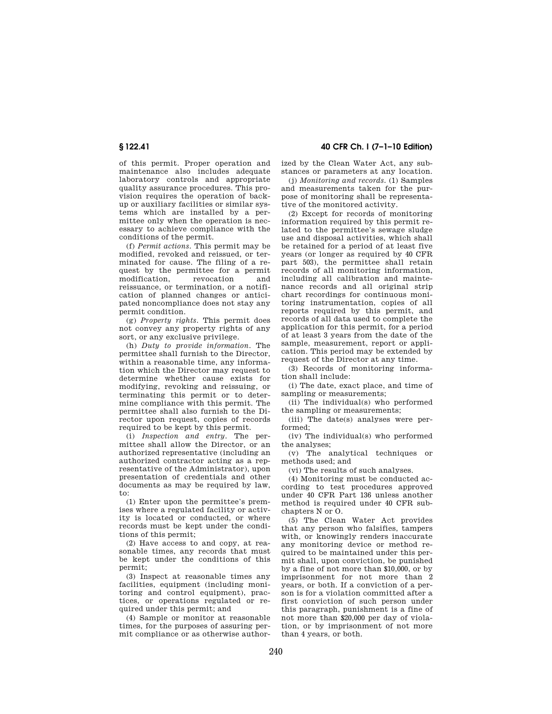of this permit. Proper operation and maintenance also includes adequate laboratory controls and appropriate quality assurance procedures. This provision requires the operation of backup or auxiliary facilities or similar systems which are installed by a permittee only when the operation is necessary to achieve compliance with the conditions of the permit.

(f) *Permit actions.* This permit may be modified, revoked and reissued, or terminated for cause. The filing of a request by the permittee for a permit modification, revocation and reissuance, or termination, or a notification of planned changes or anticipated noncompliance does not stay any permit condition.

(g) *Property rights.* This permit does not convey any property rights of any sort, or any exclusive privilege.

(h) *Duty to provide information.* The permittee shall furnish to the Director, within a reasonable time, any information which the Director may request to determine whether cause exists for modifying, revoking and reissuing, or terminating this permit or to determine compliance with this permit. The permittee shall also furnish to the Director upon request, copies of records required to be kept by this permit.

(i) *Inspection and entry.* The permittee shall allow the Director, or an authorized representative (including an authorized contractor acting as a representative of the Administrator), upon presentation of credentials and other documents as may be required by law, to:

(1) Enter upon the permittee's premises where a regulated facility or activity is located or conducted, or where records must be kept under the conditions of this permit;

(2) Have access to and copy, at reasonable times, any records that must be kept under the conditions of this permit;

(3) Inspect at reasonable times any facilities, equipment (including monitoring and control equipment), practices, or operations regulated or required under this permit; and

(4) Sample or monitor at reasonable times, for the purposes of assuring permit compliance or as otherwise author-

**§ 122.41 40 CFR Ch. I (7–1–10 Edition)** 

ized by the Clean Water Act, any substances or parameters at any location.

(j) *Monitoring and records.* (1) Samples and measurements taken for the purpose of monitoring shall be representative of the monitored activity.

(2) Except for records of monitoring information required by this permit related to the permittee's sewage sludge use and disposal activities, which shall be retained for a period of at least five years (or longer as required by 40 CFR part 503), the permittee shall retain records of all monitoring information, including all calibration and maintenance records and all original strip chart recordings for continuous monitoring instrumentation, copies of all reports required by this permit, and records of all data used to complete the application for this permit, for a period of at least 3 years from the date of the sample, measurement, report or application. This period may be extended by request of the Director at any time.

(3) Records of monitoring information shall include:

(i) The date, exact place, and time of sampling or measurements;

(ii) The individual(s) who performed the sampling or measurements;

(iii) The date(s) analyses were performed;

(iv) The individual(s) who performed the analyses;

(v) The analytical techniques or methods used; and

(vi) The results of such analyses.

(4) Monitoring must be conducted according to test procedures approved under 40 CFR Part 136 unless another method is required under 40 CFR subchapters N or O.

(5) The Clean Water Act provides that any person who falsifies, tampers with, or knowingly renders inaccurate any monitoring device or method required to be maintained under this permit shall, upon conviction, be punished by a fine of not more than \$10,000, or by imprisonment for not more than 2 years, or both. If a conviction of a person is for a violation committed after a first conviction of such person under this paragraph, punishment is a fine of not more than \$20,000 per day of violation, or by imprisonment of not more than 4 years, or both.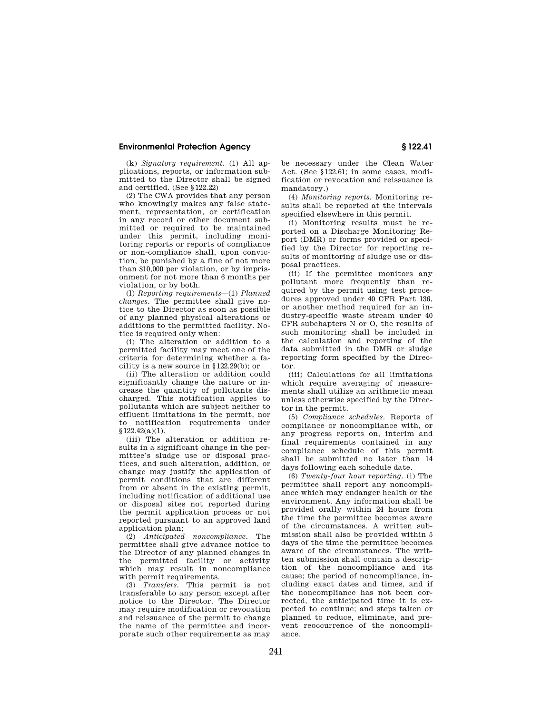## **Environmental Protection Agency § 122.41**

(k) *Signatory requirement.* (1) All applications, reports, or information submitted to the Director shall be signed and certified. (See §122.22)

(2) The CWA provides that any person who knowingly makes any false statement, representation, or certification in any record or other document submitted or required to be maintained under this permit, including monitoring reports or reports of compliance or non-compliance shall, upon conviction, be punished by a fine of not more than \$10,000 per violation, or by imprisonment for not more than 6 months per violation, or by both.

(l) *Reporting requirements*—(1) *Planned changes.* The permittee shall give notice to the Director as soon as possible of any planned physical alterations or additions to the permitted facility. Notice is required only when:

(i) The alteration or addition to a permitted facility may meet one of the criteria for determining whether a facility is a new source in §122.29(b); or

(ii) The alteration or addition could significantly change the nature or increase the quantity of pollutants discharged. This notification applies to pollutants which are subject neither to effluent limitations in the permit, nor to notification requirements under  $$122.42(a)(1).$ 

(iii) The alteration or addition results in a significant change in the permittee's sludge use or disposal practices, and such alteration, addition, or change may justify the application of permit conditions that are different from or absent in the existing permit, including notification of additional use or disposal sites not reported during the permit application process or not reported pursuant to an approved land application plan;

(2) *Anticipated noncompliance.* The permittee shall give advance notice to the Director of any planned changes in the permitted facility or activity which may result in noncompliance with permit requirements.

(3) *Transfers.* This permit is not transferable to any person except after notice to the Director. The Director may require modification or revocation and reissuance of the permit to change the name of the permittee and incorporate such other requirements as may

be necessary under the Clean Water Act. (See §122.61; in some cases, modification or revocation and reissuance is mandatory.)

(4) *Monitoring reports.* Monitoring results shall be reported at the intervals specified elsewhere in this permit.

(i) Monitoring results must be reported on a Discharge Monitoring Report (DMR) or forms provided or specified by the Director for reporting results of monitoring of sludge use or disposal practices.

(ii) If the permittee monitors any pollutant more frequently than required by the permit using test procedures approved under 40 CFR Part 136, or another method required for an industry-specific waste stream under 40 CFR subchapters N or O, the results of such monitoring shall be included in the calculation and reporting of the data submitted in the DMR or sludge reporting form specified by the Director.

(iii) Calculations for all limitations which require averaging of measurements shall utilize an arithmetic mean unless otherwise specified by the Director in the permit.

(5) *Compliance schedules.* Reports of compliance or noncompliance with, or any progress reports on, interim and final requirements contained in any compliance schedule of this permit shall be submitted no later than 14 days following each schedule date.

(6) *Twenty-four hour reporting.* (i) The permittee shall report any noncompliance which may endanger health or the environment. Any information shall be provided orally within 24 hours from the time the permittee becomes aware of the circumstances. A written submission shall also be provided within 5 days of the time the permittee becomes aware of the circumstances. The written submission shall contain a description of the noncompliance and its cause; the period of noncompliance, including exact dates and times, and if the noncompliance has not been corrected, the anticipated time it is expected to continue; and steps taken or planned to reduce, eliminate, and prevent reoccurrence of the noncompliance.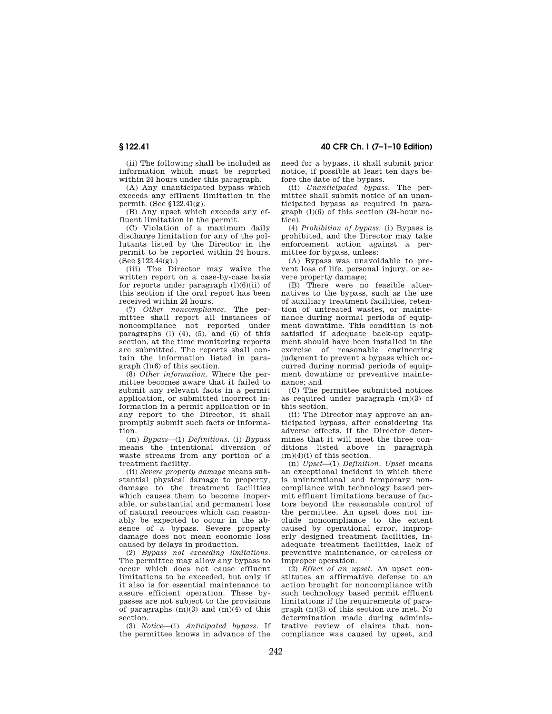(ii) The following shall be included as information which must be reported within 24 hours under this paragraph.

(A) Any unanticipated bypass which exceeds any effluent limitation in the permit. (See §122.41(g).

(B) Any upset which exceeds any effluent limitation in the permit.

(C) Violation of a maximum daily discharge limitation for any of the pollutants listed by the Director in the permit to be reported within 24 hours.  $(See \, §\,122.44(g))$ .

(iii) The Director may waive the written report on a case-by-case basis for reports under paragraph  $(l)(6)(ii)$  of this section if the oral report has been received within 24 hours.

(7) *Other noncompliance.* The permittee shall report all instances of noncompliance not reported under paragraphs  $(l)$   $(4)$ ,  $(5)$ , and  $(6)$  of this section, at the time monitoring reports are submitted. The reports shall contain the information listed in paragraph (l)(6) of this section.

(8) *Other information.* Where the permittee becomes aware that it failed to submit any relevant facts in a permit application, or submitted incorrect information in a permit application or in any report to the Director, it shall promptly submit such facts or information.

(m) *Bypass*—(1) *Definitions.* (i) *Bypass*  means the intentional diversion of waste streams from any portion of a treatment facility.

(ii) *Severe property damage* means substantial physical damage to property, damage to the treatment facilities which causes them to become inoperable, or substantial and permanent loss of natural resources which can reasonably be expected to occur in the absence of a bypass. Severe property damage does not mean economic loss caused by delays in production.

(2) *Bypass not exceeding limitations.*  The permittee may allow any bypass to occur which does not cause effluent limitations to be exceeded, but only if it also is for essential maintenance to assure efficient operation. These bypasses are not subject to the provisions of paragraphs  $(m)(3)$  and  $(m)(4)$  of this section.

(3) *Notice*—(i) *Anticipated bypass.* If the permittee knows in advance of the

**§ 122.41 40 CFR Ch. I (7–1–10 Edition)** 

need for a bypass, it shall submit prior notice, if possible at least ten days before the date of the bypass.

(ii) *Unanticipated bypass.* The permittee shall submit notice of an unanticipated bypass as required in paragraph (l)(6) of this section (24-hour notice).

(4) *Prohibition of bypass.* (i) Bypass is prohibited, and the Director may take enforcement action against a permittee for bypass, unless:

(A) Bypass was unavoidable to prevent loss of life, personal injury, or severe property damage;

(B) There were no feasible alternatives to the bypass, such as the use of auxiliary treatment facilities, retention of untreated wastes, or maintenance during normal periods of equipment downtime. This condition is not satisfied if adequate back-up equipment should have been installed in the exercise of reasonable engineering judgment to prevent a bypass which occurred during normal periods of equipment downtime or preventive maintenance; and

(C) The permittee submitted notices as required under paragraph (m)(3) of this section.

(ii) The Director may approve an anticipated bypass, after considering its adverse effects, if the Director determines that it will meet the three conditions listed above in paragraph (m)(4)(i) of this section.

(n) *Upset*—(1) *Definition. Upset* means an exceptional incident in which there is unintentional and temporary noncompliance with technology based permit effluent limitations because of factors beyond the reasonable control of the permittee. An upset does not include noncompliance to the extent caused by operational error, improperly designed treatment facilities, inadequate treatment facilities, lack of preventive maintenance, or careless or improper operation.

(2) *Effect of an upset.* An upset constitutes an affirmative defense to an action brought for noncompliance with such technology based permit effluent limitations if the requirements of paragraph (n)(3) of this section are met. No determination made during administrative review of claims that noncompliance was caused by upset, and